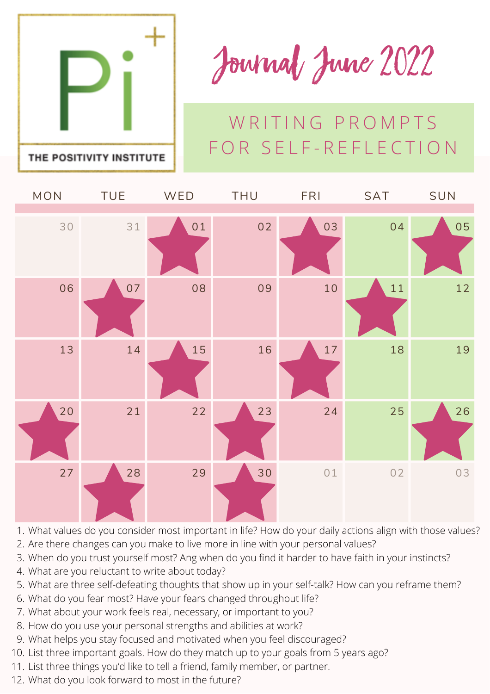

Journal June 2022

## W RITING PROMPTS FOR SELF-REFLECTION

| MON | <b>TUE</b> | WED | THU | <b>FRI</b> | SAT | SUN |
|-----|------------|-----|-----|------------|-----|-----|
|     |            |     |     |            |     |     |
| 30  | 31         | 01  | 02  | 03         | 04  | 05  |
| 06  | 07         | 08  | 09  | 10         | 11  | 12  |
| 13  | 14         | 15  | 16  | $17$       | 18  | 19  |
| 20  | 21         | 22  | 23  | 24         | 25  | 26  |
| 27  | 28         | 29  | 30  | 01         | 02  | 03  |

- What values do you consider most important in life? How do your daily actions align with those values? 1.
- 2. Are there changes can you make to live more in line with your personal values?
- When do you trust yourself most? Ang when do you find it harder to have faith in your instincts? 3.
- What are you reluctant to write about today? 4.
- 5. What are three self-defeating thoughts that show up in your self-talk? How can you reframe them?
- What do you fear most? Have your fears changed throughout life? 6.
- What about your work feels real, necessary, or important to you? 7.
- 8. How do you use your personal strengths and abilities at work?
- What helps you stay focused and motivated when you feel discouraged? 9.
- 10. List three important goals. How do they match up to your goals from 5 years ago?
- 11. List three things you'd like to tell a friend, family member, or partner.
- 12. What do you look forward to most in the future?